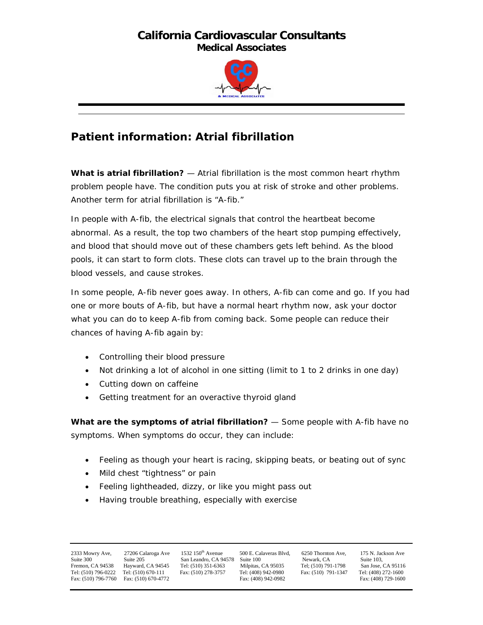## **California Cardiovascular Consultants Medical Associates**



## **Patient information: Atrial fibrillation**

**What is atrial fibrillation?** — Atrial fibrillation is the most common heart rhythm problem people have. The condition puts you at risk of stroke and other problems. Another term for atrial fibrillation is "A-fib."

In people with A-fib, the electrical signals that control the heartbeat become abnormal. As a result, the top two chambers of the heart stop pumping effectively, and blood that should move out of these chambers gets left behind. As the blood pools, it can start to form clots. These clots can travel up to the brain through the blood vessels, and cause strokes.

In some people, A-fib never goes away. In others, A-fib can come and go. If you had one or more bouts of A-fib, but have a normal heart rhythm now, ask your doctor what you can do to keep A-fib from coming back. Some people can reduce their chances of having A-fib again by:

- Controlling their blood pressure
- Not drinking a lot of alcohol in one sitting (limit to 1 to 2 drinks in one day)
- Cutting down on caffeine
- Getting treatment for an overactive thyroid gland

**What are the symptoms of atrial fibrillation?** — Some people with A-fib have no symptoms. When symptoms do occur, they can include:

- Feeling as though your heart is racing, skipping beats, or beating out of sync
- Mild chest "tightness" or pain
- Feeling lightheaded, dizzy, or like you might pass out
- Having trouble breathing, especially with exercise

Fax: (510) 796-7760 Fax: (510) 670-4772

2333 Mowry Ave, 27206 Calaroga Ave 1532 150<sup>th</sup> Avenue 500 E. Calaveras Blvd, 6250 Thornton Ave, 175 N. Jackson Ave<br>
Suite 300 Suite 205 San Leandro, CA 94578 Suite 100 Newark, CA Suite 103, Suite 300 Suite 200 Suite 205, Suite 205, Suite 205, Suite 205, Suite 205, Suite 205, Suite 205, CA 95116 Suite 103, Suite 103, Suite 103, Suite 103, Suite 103, Suite 103, Suite 103, Suite 103, Suite 103, Suite 103, Suite Fremon, CA 94538 Hayward, CA 94545 Tel: (510) 351-6363 Milpitas, CA 95035 Tel; (510) 791-1798 San Jose, CA 95116 Tel: (510) 796-0222 Tel: (510) 670-111 Fax: (510) 278-3757 Tel: (408) 942-0980 Fax: (510) 791-1347 Tel: (408) 272-1600<br>Fax: (510) 791-1347 Tel: (408) 972-1600 Fax: (510) 791-1347 Tel: (408) 272-1600